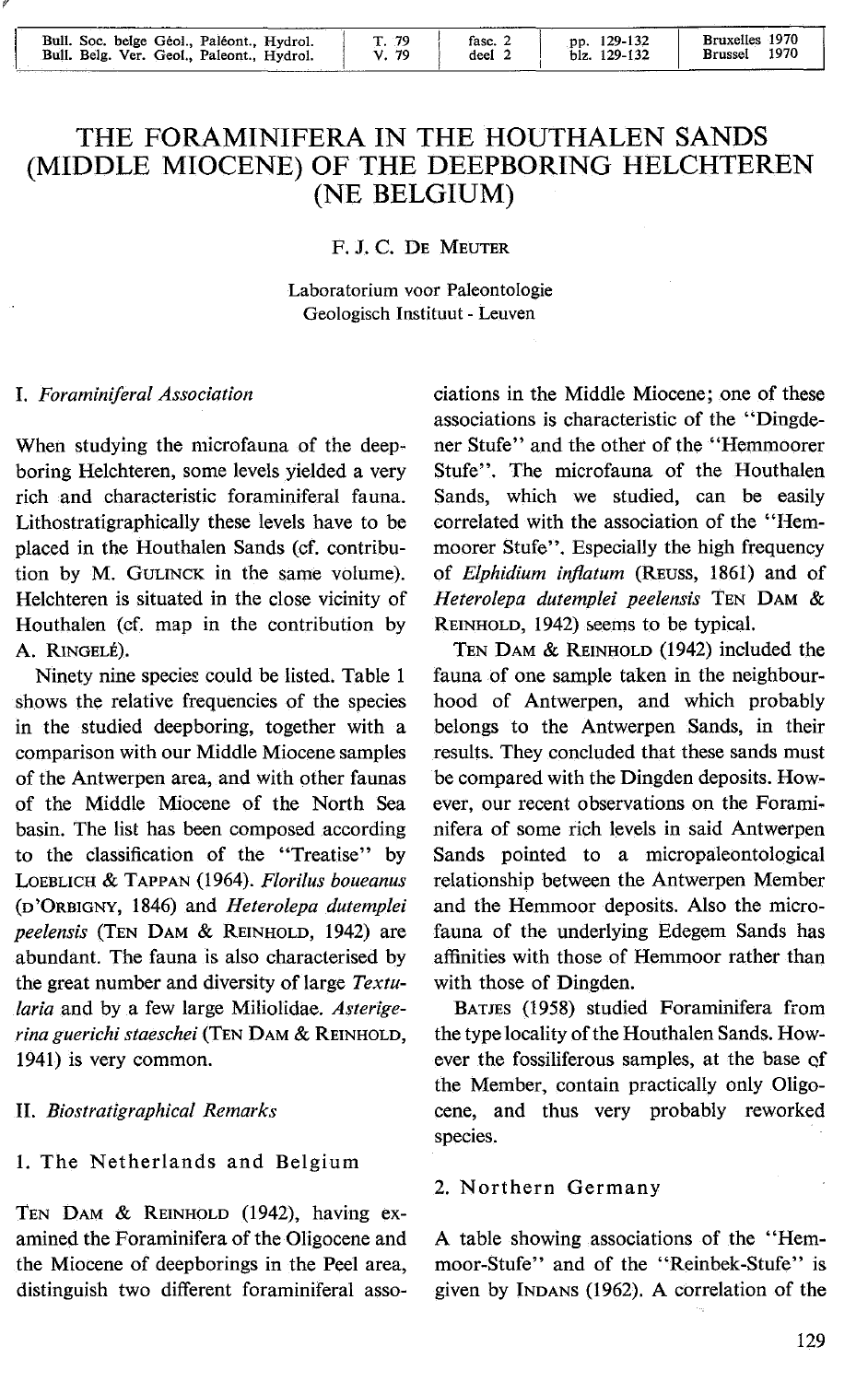| Bull. Soc. belge Géol., Paléont., Hydrol.<br>Bull. Belg. Ver. Geol., Paleont., Hydrol. | Г. 79<br>V. 79 | fasc. 2<br>deel | pp. 129-132<br>blz. 129-132 | Bruxelles 1970<br>1970<br><b>Brussel</b> |
|----------------------------------------------------------------------------------------|----------------|-----------------|-----------------------------|------------------------------------------|

# THE FORAMINIFERA IN THE HOUTHALEN SANDS (MIDDLE MIOCENE) OF THE DEEPBORING HELCHTEREN (NE BELGIUM)

### F. J. c. DE MEUTER

Laboratorium voor Paleontologie Geologisch lnstituut - Leuven

#### I. *Foraminiferal Association*

When studying the microfauna of the deepboring Helchteren, some levels yielded a very rich and characteristic foraminiferal fauna. Lithostratigraphically these levels have to be placed in the Houthalen Sands (cf. contribution by M. GuLINCK in the same volume). Helchteren is situated in the close vicinity of Houthalen (cf. map in the contribution by A. RINGELÉ).

Ninety nine species could be listed. Table 1 shows the relative frequencies of the species in the studied deepboring, together with a comparison with our Middle Miocene samples of the Antwerpen area, and with other faunas of the Middle Miocene of the North Sea basin. The list has been composed according to the classification of the ''Treatise'' by LOEBLICH & TAPPAN (1964). *Florilus boueanus*  (D'ÜRBIGNY, 1846) and *Heterolepa dutemplei peelensis* (TEN DAM & REINHOLD, 1942) are abundant. The fauna is also characterised by the great number and diversity of large *Textularia* and by a few large Miliolidae. *Asterigerina guerichi staeschei* (TEN DAM & REINHOLD, 1941) is very common.

#### II. *Biostratigraphical Remarks*

## 1. The Netherlands and Belgium

TEN DAM & REINHOLD (1942), having examined the Foraminifera of the Oligocene and the Miocene of deepborings in the Peel area, distinguish two different foraminiferal asso-

ciations in the Middle Miocene; one of these associations is characteristic of the "Dingdener Stufe" and the other of the "Hemmoorer Stufe". The microfauna of the Houthalen Sands, which we studied, can be easily correlated with the association of the "Hemmoorer Stufe". Especially the high frequency of *Elphidium infiatum* (REuss, 1861) and of *Heterolepa dutemplei peelensis* TEN DAM & REINHOLD, 1942) seems to be typical.

TEN DAM & REINHOLD (1942) included the fauna of one sample taken in the neighbourhood of Antwerpen, and which probably belongs to the Antwerpen Sands, in their results. They concluded that these sands must be compared with the Dingden deposits. However, our recent observations on the Foraminifera of some rich levels in said Antwerpen Sands pointed to a micropaleontological relationship between the Antwerpen Member and the Hemmoor deposits. Also the microfauna of the underlying Edegem Sands has affinities with those of Hemmoor rather than with those of Dingden.

BATJES (1958) studied Foraminifera from the type locality of the Houthalen Sands. However the fossiliferous samples, at the base qf the Member, contain practically only Oligocene, and thus very probably reworked species.

#### 2. Northern Germany

A table showing associations of the "Hemmoor-Stufe" and of the "Reinbek-Stufe" is given by INDANS (1962). A correlation of the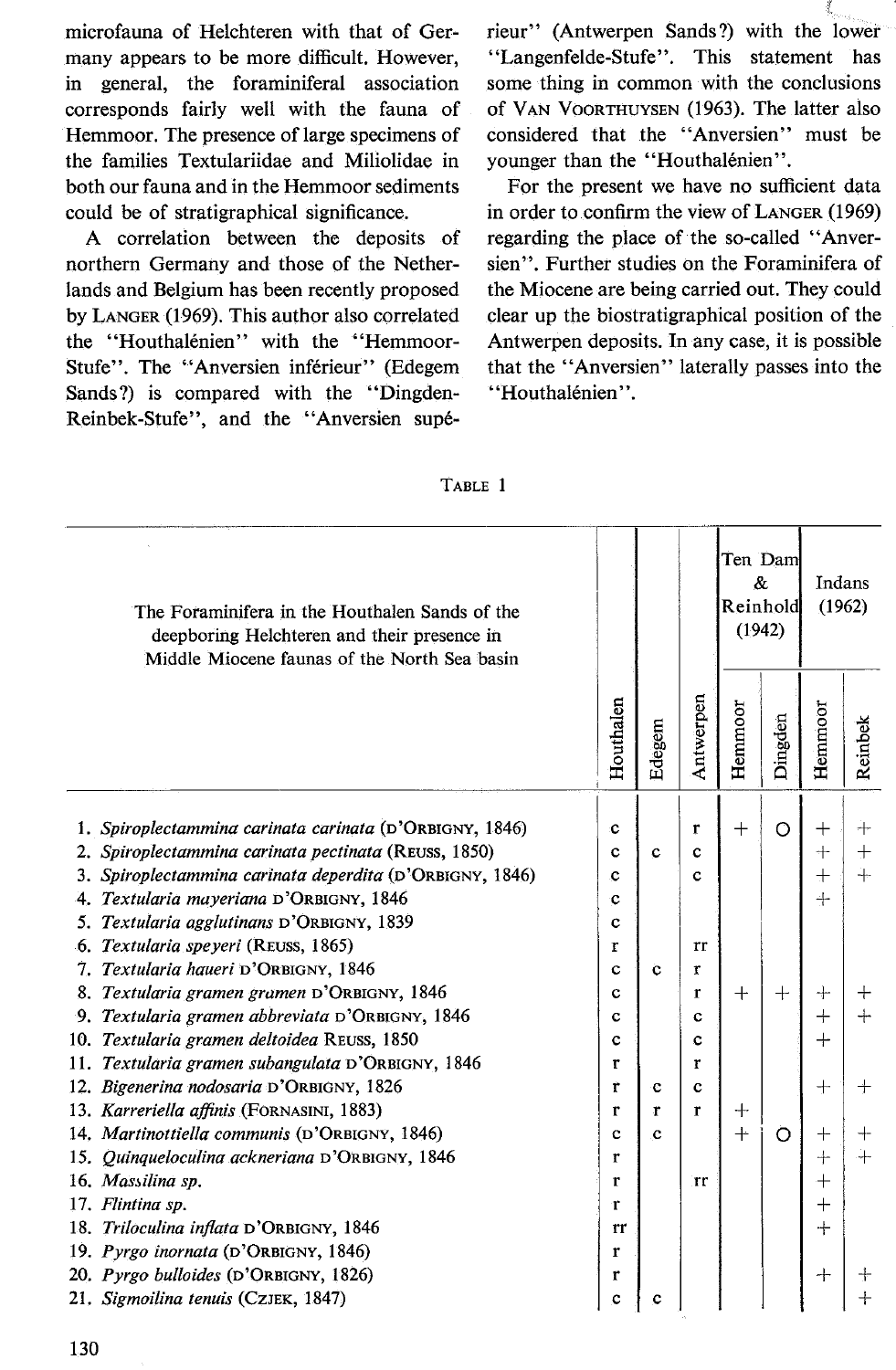microfauna of Helchteren with that of Germany appears to be more difficult. However, in general, the foraminiferal association corresponds fairly well with the fauna of Hemmoor. The presence of large specimens of the families Textulariidae and Miliolidae in both our fauna and in the Hemmoor sediments could be of stratigraphical significance.

A correlation between the deposits of northern Germany and those of the Netherlands and Belgium has been recently proposed by LANGER (1969). This author also correlated the "Houthalénien" with the "Hemmoor-Stufe". The "Anversien inférieur" (Edegem Sands ?) is compared with the "Dingden-Reinbek-Stufe", and the "Anversien supérieur" (Antwerpen Sands ?) with the lower "Langenfelde-Stufe". This statement has some thing in common with the conclusions of VAN VOORTHUYSEN (1963). The latter also considered that the "Anversien" must be younger than the "Houthalénien".

For the present we have no sufficient data in order to confirm the view of LANGER (1969) regarding the place of the so-called "Anversien". Further studies on the Foraminifera of the Miocene are being carried out. They could clear up the biostratigraphical position of the Antwerpen deposits. ln any case, it is possible that the "Anversien" laterally passes into the "Houthalénien".

| The Foraminifera in the Houthalen Sands of the<br>deepboring Helchteren and their presence in<br>Middle Miocene faunas of the North Sea basin |              |             |             | Ten Dam<br>&.<br>Reinhold<br>(1942) |         | Indans<br>(1962) |          |
|-----------------------------------------------------------------------------------------------------------------------------------------------|--------------|-------------|-------------|-------------------------------------|---------|------------------|----------|
|                                                                                                                                               | Houthalen    | Edegem      | Antwerpen   | Hemmoor                             | Dingden | Hemmoor          | Reinbek  |
|                                                                                                                                               |              |             |             |                                     |         |                  |          |
| 1. Spiroplectammina carinata carinata (D'ORBIGNY, 1846)<br>2. Spiroplectammina carinata pectinata (REUSS, 1850)                               | c            | $\mathbf c$ | r<br>c      | $\hspace{0.1mm} +$                  | O       | $\, +$<br>$^{+}$ | ┿<br>$+$ |
| 3. Spiroplectammina carinata deperdita (D'ORBIGNY, 1846)                                                                                      | c<br>c       |             | c           |                                     |         | $\pm$            | 4        |
| 4. Textularia mayeriana D'ORBIGNY, 1846                                                                                                       | c            |             |             |                                     |         | $+$              |          |
| 5. Textularia agglutinans D'ORBIGNY, 1839                                                                                                     | c            |             |             |                                     |         |                  |          |
| 6. Textularia speyeri (REUSS, 1865)                                                                                                           | r            |             | rr          |                                     |         |                  |          |
| 7. Textularia haueri D'ORBIGNY, 1846                                                                                                          | c            | ċ           | r           |                                     |         |                  |          |
| 8. Textularia gramen gramen D'ORBIGNY, 1846                                                                                                   | c            |             | r           | $^{+}$                              | $^{+}$  | $^{+}$           | $^+$     |
| 9. Textularia gramen abbreviata D'ORBIGNY, 1846                                                                                               | c            |             | c           |                                     |         | $+$              | $+$      |
| 10. Textularia gramen deltoidea REUSS, 1850                                                                                                   | c            |             | C           |                                     |         | $^{+}$           |          |
| 11. Textularia gramen subangulata D'ORBIGNY, 1846                                                                                             | r            |             | r           |                                     |         |                  |          |
| 12. Bigenerina nodosaria D'ORBIGNY, 1826                                                                                                      | ŕ            | c           | $\mathbf c$ |                                     |         | $+$              | $\pm$    |
| 13. Karreriella affinis (FORNASINI, 1883)                                                                                                     | $\mathbf{r}$ | r           | r           | ┿                                   |         |                  |          |
| 14. Martinottiella communis (D'ORBIGNY, 1846)                                                                                                 | c            | c           |             | $^{+}$                              | Ö       | $^{+}$           | $^+$     |
| 15. Quinqueloculina ackneriana D'ORBIGNY, 1846                                                                                                | r            |             |             |                                     |         | $+$              | ┿        |
| 16. Massilina sp.                                                                                                                             | r            |             | rr          |                                     |         | $\overline{+}$   |          |
| 17. Flintina sp.                                                                                                                              | r            |             |             |                                     |         | $\mathrm{+}$     |          |
| 18. Triloculina inflata D'ORBIGNY, 1846                                                                                                       | rr           |             |             |                                     |         | $+$              |          |
| 19. Pyrgo inornata (D'ORBIGNY, 1846)                                                                                                          | r            |             |             |                                     |         |                  |          |
| 20. Pyrgo bulloides (D'ORBIGNY, 1826)                                                                                                         | r            |             |             |                                     |         | $\pm$            | ╅        |
| 21. Sigmoilina tenuis (CZJEK, 1847)                                                                                                           | c            | c           |             |                                     |         |                  | $\,{}^+$ |

|--|--|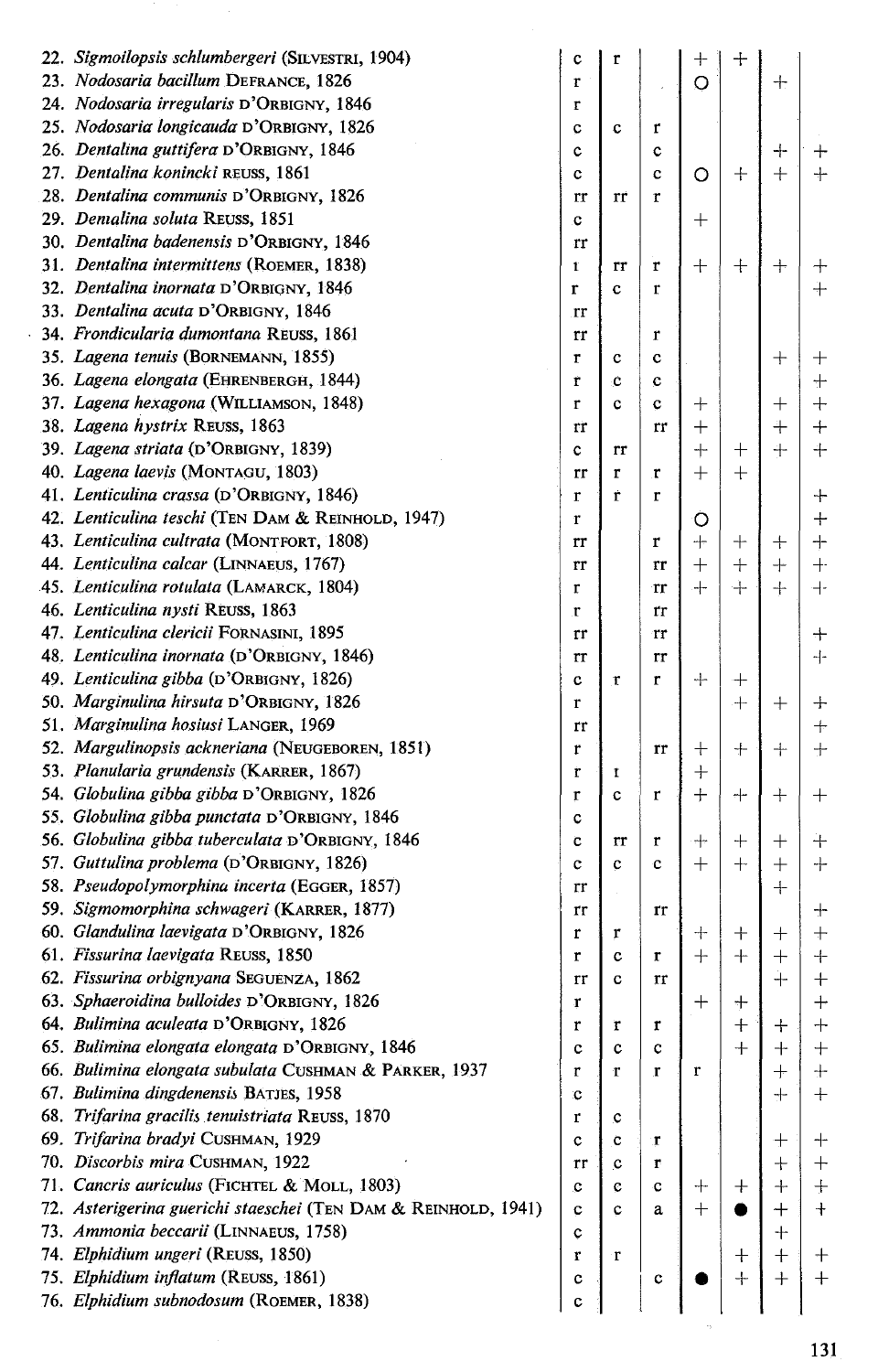| 22. Sigmoilopsis schlumbergeri (SILVESTRI, 1904)               | c  | r  |             | $^{+}$  | $\hspace{0.1mm} +$               |                    |                                  |
|----------------------------------------------------------------|----|----|-------------|---------|----------------------------------|--------------------|----------------------------------|
| 23. Nodosaria bacillum DEFRANCE, 1826                          | r  |    | l,          | $\circ$ |                                  | $+$                |                                  |
| 24. Nodosaria irregularis D'ORBIGNY, 1846                      | r  |    |             |         |                                  |                    |                                  |
| 25. Nodosaria longicauda D'ORBIGNY, 1826                       | c  | c  | r           |         |                                  |                    |                                  |
| 26. Dentalina guttifera D'ORBIGNY, 1846                        | c  |    | c           |         |                                  | $^{+}$             | ┿                                |
| 27. Dentalina konincki REUSS, 1861                             | c  |    | c           | O       | $+$                              | $+$                | $+$                              |
| 28. Dentalina communis D'ORBIGNY, 1826                         | rr | rr | r           |         |                                  |                    |                                  |
| 29. Demalina soluta REUSS, 1851                                | c  |    |             | $\pm$   |                                  |                    |                                  |
| 30. Dentalina badenensis D'ORBIGNY, 1846                       | rr |    |             |         |                                  |                    |                                  |
| 31. Dentalina intermittens (ROEMER, 1838)                      | t  | rr | r           | $\ddag$ | $^{+}$                           | $+$                | ┿                                |
| 32. Dentalina inornata D'ORBIGNY, 1846                         | r  | c  | r           |         |                                  |                    | $+$                              |
| 33. Dentalina acuta D'ORBIGNY, 1846                            | rr |    |             |         |                                  |                    |                                  |
| 34. Frondicularia dumontana REUSS, 1861                        | rr |    | r           |         |                                  |                    |                                  |
| 35. Lagena tenuis (BORNEMANN, 1855)                            | r  | c  | c           |         |                                  | $^{+}$             | $^+$                             |
| 36. Lagena elongata (EHRENBERGH, 1844)                         | r  | Ċ  | c           |         |                                  |                    | $\pm$                            |
| 37. Lagena hexagona (WILLIAMSON, 1848)                         | r  | c  | c           | 十       |                                  | $^{+}$             | $^{+}$                           |
| 38. Lagena hystrix REUSS, 1863                                 | rr |    | rr          | $^{+}$  |                                  | $+$                | $^{+}$                           |
| 39. Lagena striata (D'ORBIGNY, 1839)                           | c  | rr |             | $+$     | $\hspace{0.1mm} +$               | ┿                  | ┿                                |
| 40. Lagena laevis (MONTAGU, 1803)                              | rr | Ľ  | r           | $+$     | $^{+}$                           |                    |                                  |
| 41. Lenticulina crassa (D'ORBIGNY, 1846)                       | r  | Ť  | r           |         |                                  |                    | ┿                                |
| 42. Lenticulina teschi (Тем DAM & REINHOLD, 1947)              | r  |    |             | O       |                                  |                    | $+$                              |
| 43. Lenticulina cultrata (MONTFORT, 1808)                      | rr |    | r           | $+$     | $\hspace{0.1mm} +$               | $^{+}$             | $+$                              |
| 44. Lenticulina calcar (LINNAEUS, 1767)                        | rr |    | rr          | $^{+}$  | $+$                              | $^{+}$             | $+$                              |
| 45. Lenticulina rotulata (LAMARCK, 1804)                       | r  |    | rr          | $+$     | $+$                              | $+$                | $+$                              |
| 46. Lenticulina nysti REUSS, 1863                              | r  |    | rr          |         |                                  |                    |                                  |
| 47. Lenticulina clericii FORNASINI, 1895                       | rr |    |             |         |                                  |                    |                                  |
| 48. Lenticulina inornata (D'ORBIGNY, 1846)                     |    |    | Tr          |         |                                  |                    | $^{+}$<br>$+$                    |
|                                                                | rr |    | rr          |         |                                  |                    |                                  |
| 49. Lenticulina gibba (D'ORBIGNY, 1826)                        | c  | r  | r           | $+$     | $^+$                             |                    |                                  |
| 50. Marginulina hirsuta D'ORBIGNY, 1826                        | r  |    |             |         | $+$                              | $\hspace{0.1mm} +$ | ╈                                |
| 51. Marginulina hosiusi LANGER, 1969                           | rr |    |             |         |                                  |                    | $^{+}$                           |
| 52. Margulinopsis ackneriana (NEUGEBOREN, 1851)                | r  |    | rr          | $\ddag$ | $\mathrm{+}$                     | $^{+}$             | $\pm$                            |
| 53. Planularia grundensis (KARRER, 1867)                       | r  | 1  |             | $+$     |                                  |                    |                                  |
| 54. Globulina gibba gibba D'ORBIGNY, 1826                      | r  | c  | r           | $+$     | $^{+}$                           | $\, +$             | $^+$                             |
| 55. Globulina gibba punctata D'ORBIGNY, 1846                   | c  |    |             |         |                                  |                    |                                  |
| 56. Globulina gibba tuberculata D'ORBIGNY, 1846                | C  | rr | r           | ┿       | $\hspace{0.1mm} +\hspace{0.1mm}$ | $^{+}$             | $^{+}$                           |
| 57. Guttulina problema (D'ORBIGNY, 1826)                       | c  | c  | c           | $+$     | $^{+}$                           | $^{+}$             | ┿                                |
| 58. Pseudopolymorphina incerta (EGGER, 1857)                   | rr |    |             |         |                                  | $+$                |                                  |
| 59. Sigmomorphina schwageri (KARRER, 1877)                     | rr |    | rr          |         |                                  |                    | ┿                                |
| 60. Glandulina laevigata D'ORBIGNY, 1826                       | r  | r  |             | ┿       | $^{+}$                           | $\,+\,$            | $+$                              |
| 61. Fissurina laevigata REUSS, 1850                            | r  | c  | r           | $+$     | $^{+}$                           | $\! +$             | $\hspace{0.1mm} +$               |
| 62. Fissurina orbignyana SEGUENZA, 1862                        | rr | C  | rr          |         |                                  | $^{+}$             | $\boldsymbol{+}$                 |
| 63. Sphaeroidina bulloides D'ORBIGNY, 1826                     | r  |    |             | $\ddag$ | ┿                                |                    | $^{+}$                           |
| 64. Bulimina aculeata D'ORBIGNY, 1826                          | r  | r  | $\mathbf r$ |         | $^+$                             | ╅                  | ┿                                |
| 65. Bulimina elongata elongata D'ORBIGNY, 1846                 | c  | c  | $\mathbf c$ |         | $+$                              | $\, + \,$          | $^+$                             |
| 66. Bulimina elongata subulata CUSHMAN & PARKER, 1937          | r  | r  | r           | r       |                                  | $^{+}$             | $\pm$                            |
| 67. Bulimina dingdenensis BATJES, 1958                         | c  |    |             |         |                                  | ┽                  | $\hspace{0.1mm} +\hspace{0.1mm}$ |
| 68. Trifarina gracilis tenuistriata REUSS, 1870                | r  | c  |             |         |                                  |                    |                                  |
| 69. Trifarina bradyi CUSHMAN, 1929                             | c  | Ċ  | r           |         |                                  | $^+$               | ┽                                |
| 70. Discorbis mira CUSHMAN, 1922                               | rr | c  | r           |         |                                  | $\ddag$            | $^{+}$                           |
| 71. Cancris auriculus (FICHTEL & MOLL, 1803)                   | c  | c  | C           | ┿       | $^+$                             | ┿                  | $\pm$                            |
| 72. Asterigerina guerichi staeschei (TEN DAM & REINHOLD, 1941) | c  | c  | а           | $^{+}$  |                                  | ┿                  | $\, + \,$                        |
| 73. Ammonia beccarii (LINNAEUS, 1758)                          | ¢  |    |             |         |                                  | $\pm$              |                                  |
| 74. Elphidium ungeri (REUSS, 1850)                             | r  | r  |             |         | $\hspace{0.1mm} +\hspace{0.1mm}$ | $+$                | $^{+}$                           |
| 75. Elphidium inflatum (REUSS, 1861)                           | c  |    | c           |         | $^{+}$                           | $+$                | $+$                              |
| 76. Elphidium subnodosum (ROEMER, 1838)                        | c  |    |             |         |                                  |                    |                                  |
|                                                                |    |    |             |         |                                  |                    |                                  |

l,